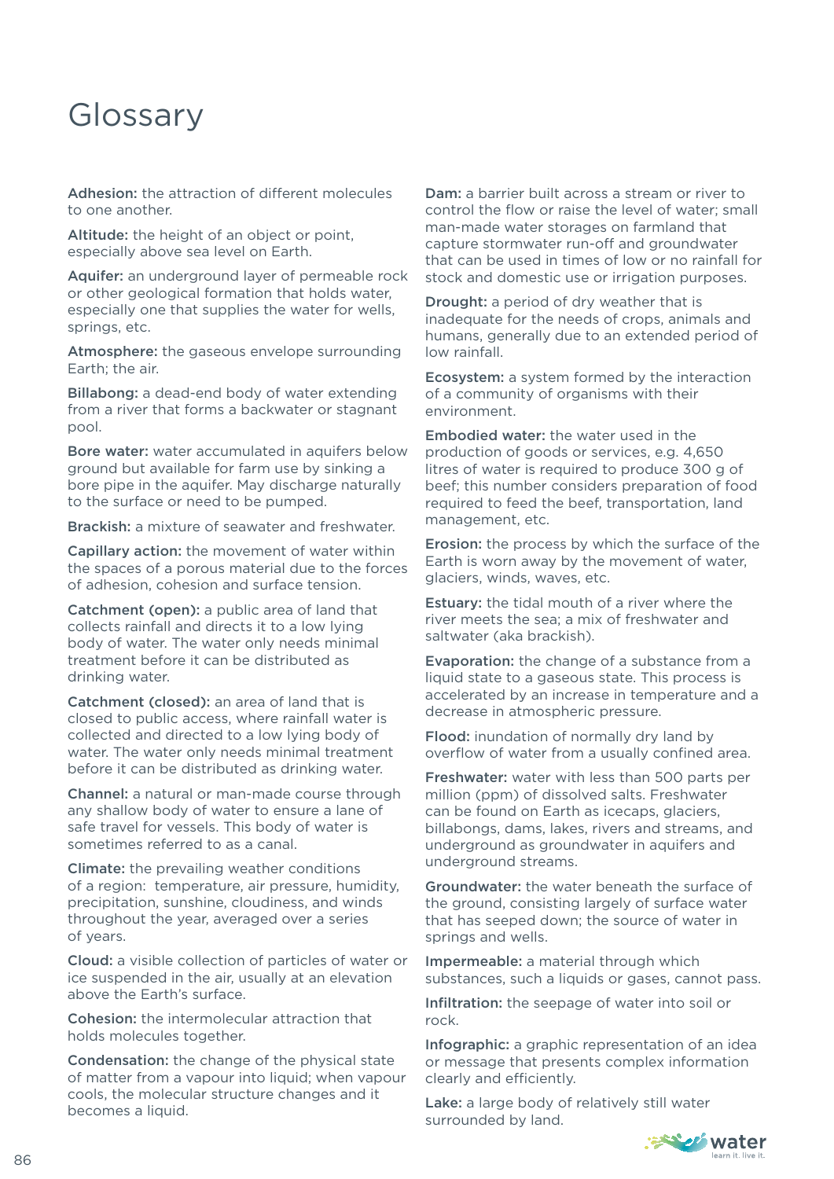## Glossary

Adhesion: the attraction of different molecules to one another.

Altitude: the height of an object or point, especially above sea level on Earth.

Aquifer: an underground layer of permeable rock or other geological formation that holds water, especially one that supplies the water for wells, springs, etc.

Atmosphere: the gaseous envelope surrounding Earth; the air.

Billabong: a dead-end body of water extending from a river that forms a backwater or stagnant pool.

Bore water: water accumulated in aquifers below ground but available for farm use by sinking a bore pipe in the aquifer. May discharge naturally to the surface or need to be pumped.

Brackish: a mixture of seawater and freshwater.

Capillary action: the movement of water within the spaces of a porous material due to the forces of adhesion, cohesion and surface tension.

Catchment (open): a public area of land that collects rainfall and directs it to a low lying body of water. The water only needs minimal treatment before it can be distributed as drinking water.

Catchment (closed): an area of land that is closed to public access, where rainfall water is collected and directed to a low lying body of water. The water only needs minimal treatment before it can be distributed as drinking water.

Channel: a natural or man-made course through any shallow body of water to ensure a lane of safe travel for vessels. This body of water is sometimes referred to as a canal.

Climate: the prevailing weather conditions of a region: temperature, air pressure, humidity, precipitation, sunshine, cloudiness, and winds throughout the year, averaged over a series of years.

Cloud: a visible collection of particles of water or ice suspended in the air, usually at an elevation above the Earth's surface.

Cohesion: the intermolecular attraction that holds molecules together.

Condensation: the change of the physical state of matter from a vapour into liquid; when vapour cools, the molecular structure changes and it becomes a liquid.

Dam: a barrier built across a stream or river to control the flow or raise the level of water; small man-made water storages on farmland that capture stormwater run-off and groundwater that can be used in times of low or no rainfall for stock and domestic use or irrigation purposes.

Drought: a period of dry weather that is inadequate for the needs of crops, animals and humans, generally due to an extended period of low rainfall.

Ecosystem: a system formed by the interaction of a community of organisms with their environment.

Embodied water: the water used in the production of goods or services, e.g. 4,650 litres of water is required to produce 300 g of beef; this number considers preparation of food required to feed the beef, transportation, land management, etc.

Erosion: the process by which the surface of the Earth is worn away by the movement of water, glaciers, winds, waves, etc.

Estuary: the tidal mouth of a river where the river meets the sea; a mix of freshwater and saltwater (aka brackish).

Evaporation: the change of a substance from a liquid state to a gaseous state. This process is accelerated by an increase in temperature and a decrease in atmospheric pressure.

Flood: inundation of normally dry land by overflow of water from a usually confined area.

Freshwater: water with less than 500 parts per million (ppm) of dissolved salts. Freshwater can be found on Earth as icecaps, glaciers, billabongs, dams, lakes, rivers and streams, and underground as groundwater in aquifers and underground streams.

Groundwater: the water beneath the surface of the ground, consisting largely of surface water that has seeped down; the source of water in springs and wells.

Impermeable: a material through which substances, such a liquids or gases, cannot pass.

Infiltration: the seepage of water into soil or rock.

Infographic: a graphic representation of an idea or message that presents complex information clearly and efficiently.

Lake: a large body of relatively still water surrounded by land.

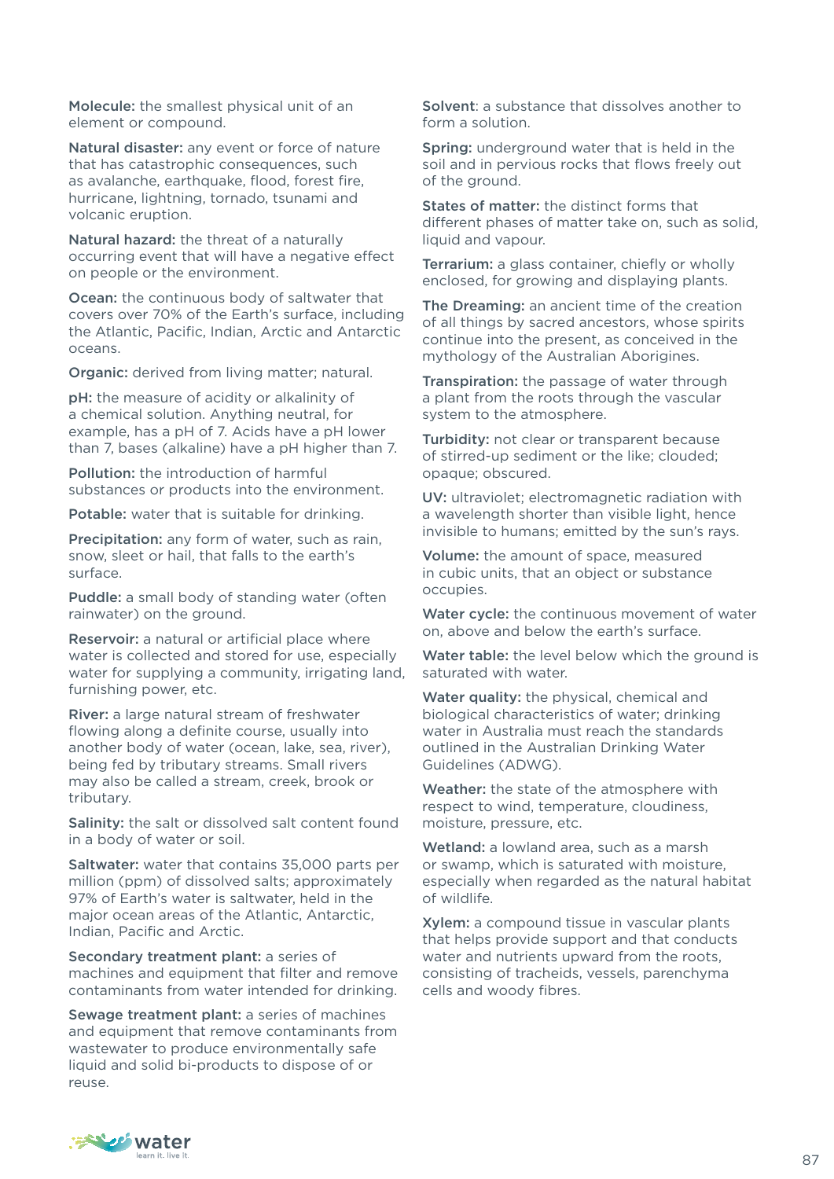Molecule: the smallest physical unit of an element or compound.

Natural disaster: any event or force of nature that has catastrophic consequences, such as avalanche, earthquake, flood, forest fire, hurricane, lightning, tornado, tsunami and volcanic eruption.

Natural hazard: the threat of a naturally occurring event that will have a negative effect on people or the environment.

Ocean: the continuous body of saltwater that covers over 70% of the Earth's surface, including the Atlantic, Pacific, Indian, Arctic and Antarctic oceans.

Organic: derived from living matter; natural.

pH: the measure of acidity or alkalinity of a chemical solution. Anything neutral, for example, has a pH of 7. Acids have a pH lower than 7, bases (alkaline) have a pH higher than 7.

Pollution: the introduction of harmful substances or products into the environment.

Potable: water that is suitable for drinking.

Precipitation: any form of water, such as rain, snow, sleet or hail, that falls to the earth's surface.

Puddle: a small body of standing water (often rainwater) on the ground.

Reservoir: a natural or artificial place where water is collected and stored for use, especially water for supplying a community, irrigating land, furnishing power, etc.

River: a large natural stream of freshwater flowing along a definite course, usually into another body of water (ocean, lake, sea, river), being fed by tributary streams. Small rivers may also be called a stream, creek, brook or tributary.

Salinity: the salt or dissolved salt content found in a body of water or soil.

Saltwater: water that contains 35,000 parts per million (ppm) of dissolved salts; approximately 97% of Earth's water is saltwater, held in the major ocean areas of the Atlantic, Antarctic, Indian, Pacific and Arctic.

Secondary treatment plant: a series of machines and equipment that filter and remove contaminants from water intended for drinking.

Sewage treatment plant: a series of machines and equipment that remove contaminants from wastewater to produce environmentally safe liquid and solid bi-products to dispose of or reuse.

Solvent: a substance that dissolves another to form a solution.

Spring: underground water that is held in the soil and in pervious rocks that flows freely out of the ground.

States of matter: the distinct forms that different phases of matter take on, such as solid, liquid and vapour.

Terrarium: a glass container, chiefly or wholly enclosed, for growing and displaying plants.

The Dreaming: an ancient time of the creation of all things by sacred ancestors, whose spirits continue into the present, as conceived in the mythology of the Australian Aborigines.

Transpiration: the passage of water through a plant from the roots through the vascular system to the atmosphere.

Turbidity: not clear or transparent because of stirred-up sediment or the like; clouded; opaque; obscured.

UV: ultraviolet; electromagnetic radiation with a wavelength shorter than visible light, hence invisible to humans; emitted by the sun's rays.

Volume: the amount of space, measured in cubic units, that an object or substance occupies.

Water cycle: the continuous movement of water on, above and below the earth's surface.

Water table: the level below which the ground is saturated with water.

Water quality: the physical, chemical and biological characteristics of water; drinking water in Australia must reach the standards outlined in the Australian Drinking Water Guidelines (ADWG).

Weather: the state of the atmosphere with respect to wind, temperature, cloudiness, moisture, pressure, etc.

Wetland: a lowland area, such as a marsh or swamp, which is saturated with moisture, especially when regarded as the natural habitat of wildlife.

Xylem: a compound tissue in vascular plants that helps provide support and that conducts water and nutrients upward from the roots, consisting of tracheids, vessels, parenchyma cells and woody fibres.

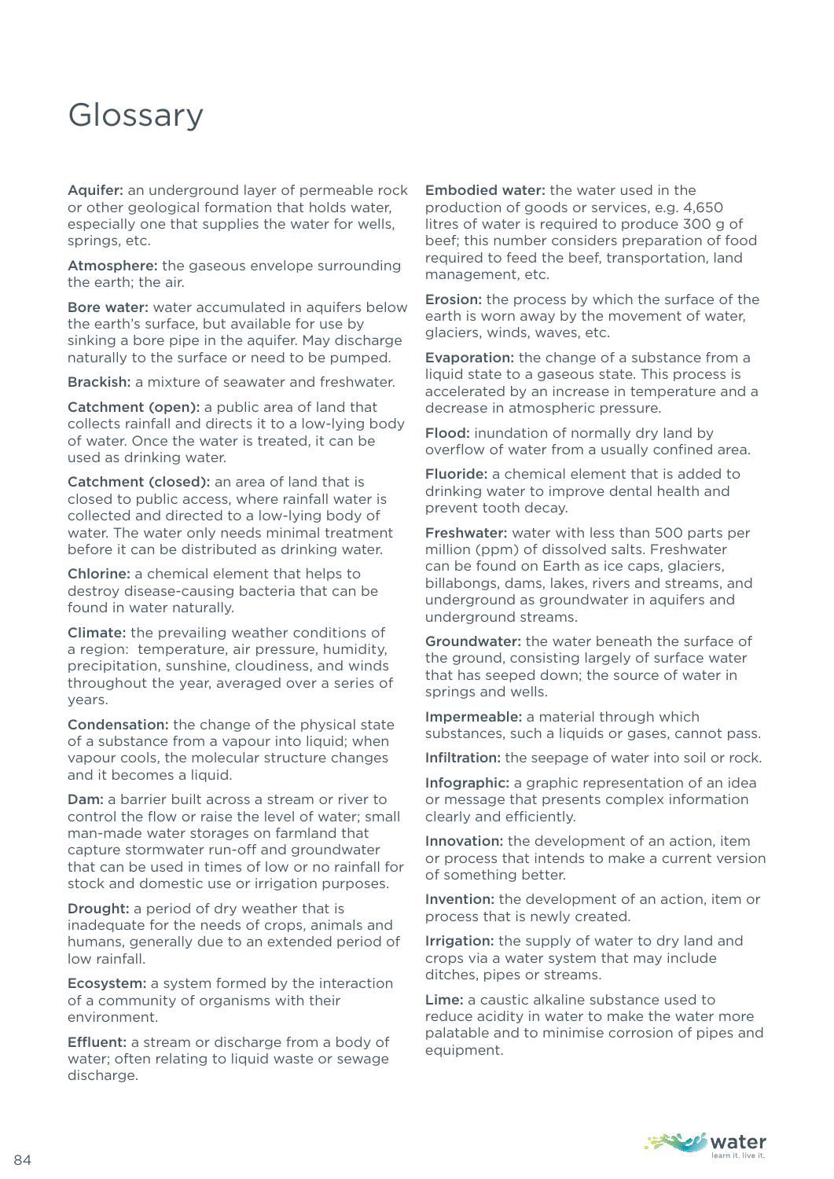## Glossary

Aquifer: an underground layer of permeable rock or other geological formation that holds water, especially one that supplies the water for wells, springs, etc.

Atmosphere: the gaseous envelope surrounding the earth; the air.

Bore water: water accumulated in aquifers below the earth's surface, but available for use by sinking a bore pipe in the aquifer. May discharge naturally to the surface or need to be pumped.

Brackish: a mixture of seawater and freshwater.

Catchment (open): a public area of land that collects rainfall and directs it to a low-lying body of water. Once the water is treated, it can be used as drinking water.

Catchment (closed): an area of land that is closed to public access, where rainfall water is collected and directed to a low-lying body of water. The water only needs minimal treatment before it can be distributed as drinking water.

Chlorine: a chemical element that helps to destroy disease-causing bacteria that can be found in water naturally.

Climate: the prevailing weather conditions of a region: temperature, air pressure, humidity, precipitation, sunshine, cloudiness, and winds throughout the year, averaged over a series of years.

Condensation: the change of the physical state of a substance from a vapour into liquid; when vapour cools, the molecular structure changes and it becomes a liquid.

Dam: a barrier built across a stream or river to control the flow or raise the level of water; small man-made water storages on farmland that capture stormwater run-off and groundwater that can be used in times of low or no rainfall for stock and domestic use or irrigation purposes.

Drought: a period of dry weather that is inadequate for the needs of crops, animals and humans, generally due to an extended period of low rainfall.

Ecosystem: a system formed by the interaction of a community of organisms with their environment.

Effluent: a stream or discharge from a body of water; often relating to liquid waste or sewage discharge.

Embodied water: the water used in the production of goods or services, e.g. 4,650 litres of water is required to produce 300 g of beef; this number considers preparation of food required to feed the beef, transportation, land management, etc.

Erosion: the process by which the surface of the earth is worn away by the movement of water, glaciers, winds, waves, etc.

Evaporation: the change of a substance from a liquid state to a gaseous state. This process is accelerated by an increase in temperature and a decrease in atmospheric pressure.

Flood: inundation of normally dry land by overflow of water from a usually confined area.

Fluoride: a chemical element that is added to drinking water to improve dental health and prevent tooth decay.

Freshwater: water with less than 500 parts per million (ppm) of dissolved salts. Freshwater can be found on Earth as ice caps, glaciers, billabongs, dams, lakes, rivers and streams, and underground as groundwater in aquifers and underground streams.

Groundwater: the water beneath the surface of the ground, consisting largely of surface water that has seeped down; the source of water in springs and wells.

Impermeable: a material through which substances, such a liquids or gases, cannot pass.

Infiltration: the seepage of water into soil or rock.

Infographic: a graphic representation of an idea or message that presents complex information clearly and efficiently.

Innovation: the development of an action, item or process that intends to make a current version of something better.

Invention: the development of an action, item or process that is newly created.

Irrigation: the supply of water to dry land and crops via a water system that may include ditches, pipes or streams.

Lime: a caustic alkaline substance used to reduce acidity in water to make the water more palatable and to minimise corrosion of pipes and equipment.

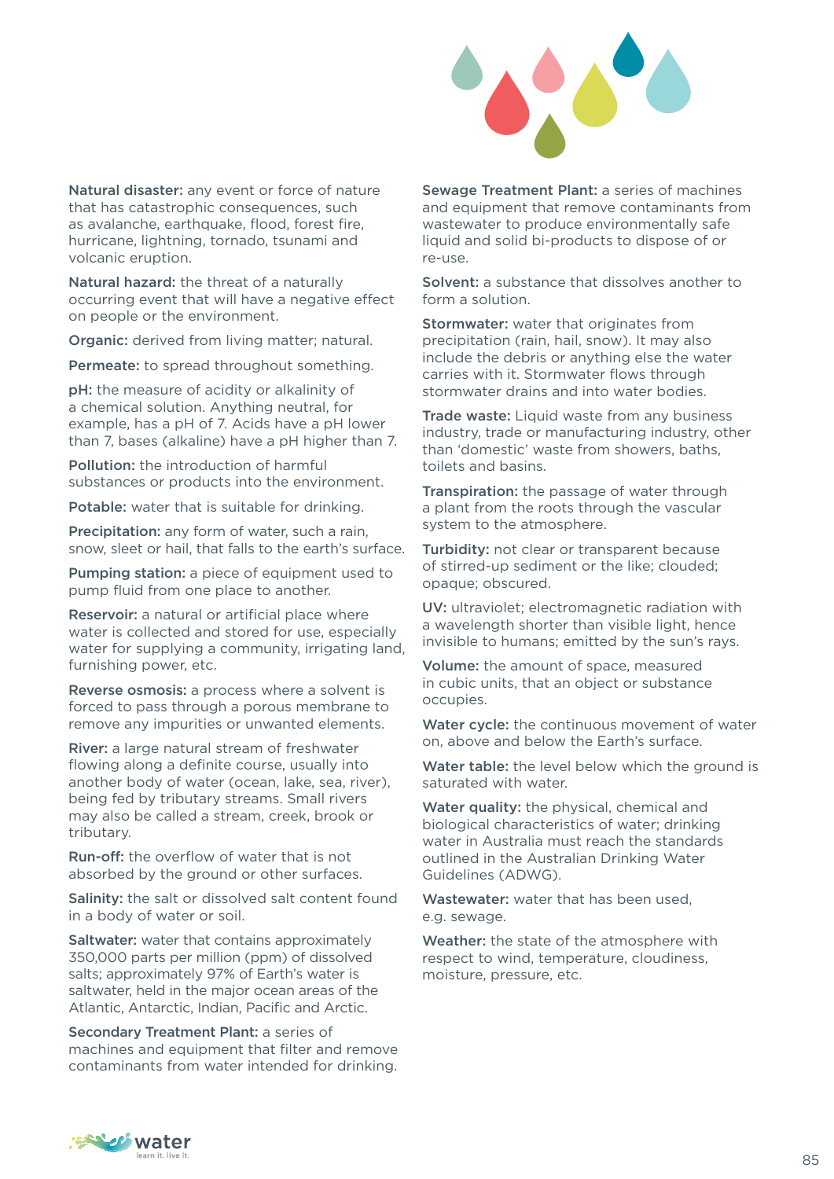

Natural disaster: any event or force of nature that has catastrophic consequences, such as avalanche, earthquake, flood, forest fire, hurricane, lightning, tornado, tsunami and volcanic eruption.

Natural hazard: the threat of a naturally occurring event that will have a negative effect on people or the environment.

Organic: derived from living matter; natural.

Permeate: to spread throughout something.

pH: the measure of acidity or alkalinity of a chemical solution. Anything neutral, for example, has a pH of 7. Acids have a pH lower than 7, bases (alkaline) have a pH higher than 7.

Pollution: the introduction of harmful substances or products into the environment.

Potable: water that is suitable for drinking.

Precipitation: any form of water, such a rain, snow, sleet or hail, that falls to the earth's surface.

Pumping station: a piece of equipment used to pump fluid from one place to another.

Reservoir: a natural or artificial place where water is collected and stored for use, especially water for supplying a community, irrigating land, furnishing power, etc.

Reverse osmosis: a process where a solvent is forced to pass through a porous membrane to remove any impurities or unwanted elements.

River: a large natural stream of freshwater flowing along a definite course, usually into another body of water (ocean, lake, sea, river), being fed by tributary streams. Small rivers may also be called a stream, creek, brook or tributary.

**Run-off:** the overflow of water that is not absorbed by the ground or other surfaces.

Salinity: the salt or dissolved salt content found in a body of water or soil.

Saltwater: water that contains approximately 350,000 parts per million (ppm) of dissolved salts; approximately 97% of Earth's water is saltwater, held in the major ocean areas of the Atlantic, Antarctic, Indian, Pacific and Arctic.

Secondary Treatment Plant: a series of machines and equipment that filter and remove contaminants from water intended for drinking. Sewage Treatment Plant: a series of machines and equipment that remove contaminants from wastewater to produce environmentally safe liquid and solid bi-products to dispose of or re-use.

Solvent: a substance that dissolves another to form a solution.

Stormwater: water that originates from precipitation (rain, hail, snow). It may also include the debris or anything else the water carries with it. Stormwater flows through stormwater drains and into water bodies.

**Trade waste:** Liquid waste from any business industry, trade or manufacturing industry, other than 'domestic' waste from showers, baths, toilets and basins.

Transpiration: the passage of water through a plant from the roots through the vascular system to the atmosphere.

Turbidity: not clear or transparent because of stirred-up sediment or the like; clouded; opaque; obscured.

UV: ultraviolet; electromagnetic radiation with a wavelength shorter than visible light, hence invisible to humans; emitted by the sun's rays.

Volume: the amount of space, measured in cubic units, that an object or substance occupies.

Water cycle: the continuous movement of water on, above and below the Earth's surface.

Water table: the level below which the ground is saturated with water.

Water quality: the physical, chemical and biological characteristics of water; drinking water in Australia must reach the standards outlined in the Australian Drinking Water Guidelines (ADWG).

Wastewater: water that has been used. e.g. sewage.

Weather: the state of the atmosphere with respect to wind, temperature, cloudiness, moisture, pressure, etc.

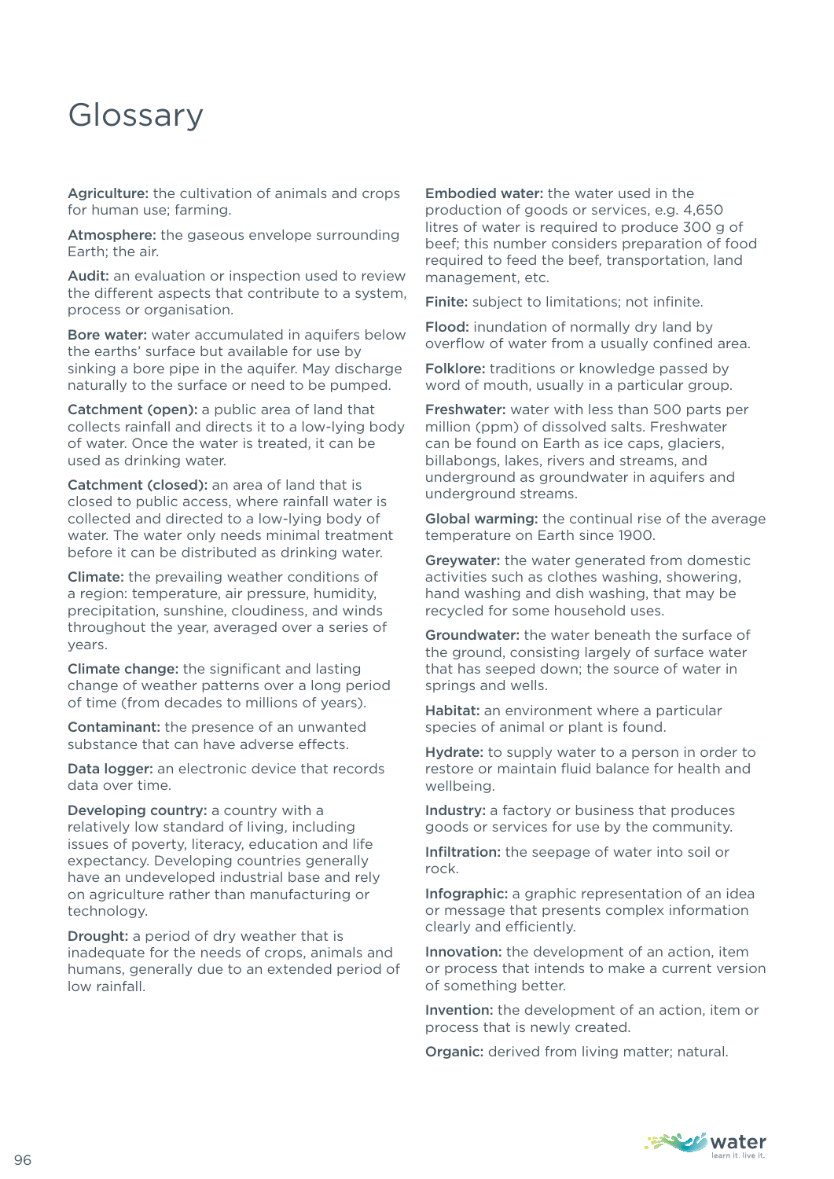## Glossary

Agriculture: the cultivation of animals and crops for human use; farming.

Atmosphere: the gaseous envelope surrounding Earth; the air.

Audit: an evaluation or inspection used to review the different aspects that contribute to a system, process or organisation.

Bore water: water accumulated in aquifers below the earths' surface but available for use by sinking a bore pipe in the aquifer. May discharge naturally to the surface or need to be pumped.

Catchment (open): a public area of land that collects rainfall and directs it to a low-lying body of water. Once the water is treated, it can be used as drinking water.

Catchment (closed): an area of land that is closed to public access, where rainfall water is collected and directed to a low-lying body of water. The water only needs minimal treatment before it can be distributed as drinking water.

Climate: the prevailing weather conditions of a region: temperature, air pressure, humidity, precipitation, sunshine, cloudiness, and winds throughout the year, averaged over a series of years.

Climate change: the significant and lasting change of weather patterns over a long period of time (from decades to millions of years).

Contaminant: the presence of an unwanted substance that can have adverse effects.

Data logger: an electronic device that records data over time.

Developing country: a country with a relatively low standard of living, including issues of poverty, literacy, education and life expectancy. Developing countries generally have an undeveloped industrial base and rely on agriculture rather than manufacturing or technology.

Drought: a period of dry weather that is inadequate for the needs of crops, animals and humans, generally due to an extended period of low rainfall.

Embodied water: the water used in the production of goods or services, e.g. 4,650 litres of water is required to produce 300 g of beef; this number considers preparation of food required to feed the beef, transportation, land management, etc.

Finite: subject to limitations; not infinite.

Flood: inundation of normally dry land by overflow of water from a usually confined area.

Folklore: traditions or knowledge passed by word of mouth, usually in a particular group.

Freshwater: water with less than 500 parts per million (ppm) of dissolved salts. Freshwater can be found on Earth as ice caps, glaciers, billabongs, lakes, rivers and streams, and underground as groundwater in aquifers and underground streams.

Global warming: the continual rise of the average temperature on Earth since 1900.

Greywater: the water generated from domestic activities such as clothes washing, showering, hand washing and dish washing, that may be recycled for some household uses.

Groundwater: the water beneath the surface of the ground, consisting largely of surface water that has seeped down; the source of water in springs and wells.

Habitat: an environment where a particular species of animal or plant is found.

Hydrate: to supply water to a person in order to restore or maintain fluid balance for health and wellbeing.

Industry: a factory or business that produces goods or services for use by the community.

Infiltration: the seepage of water into soil or rock.

Infographic: a graphic representation of an idea or message that presents complex information clearly and efficiently.

Innovation: the development of an action, item or process that intends to make a current version of something better.

Invention: the development of an action, item or process that is newly created.

Organic: derived from living matter; natural.